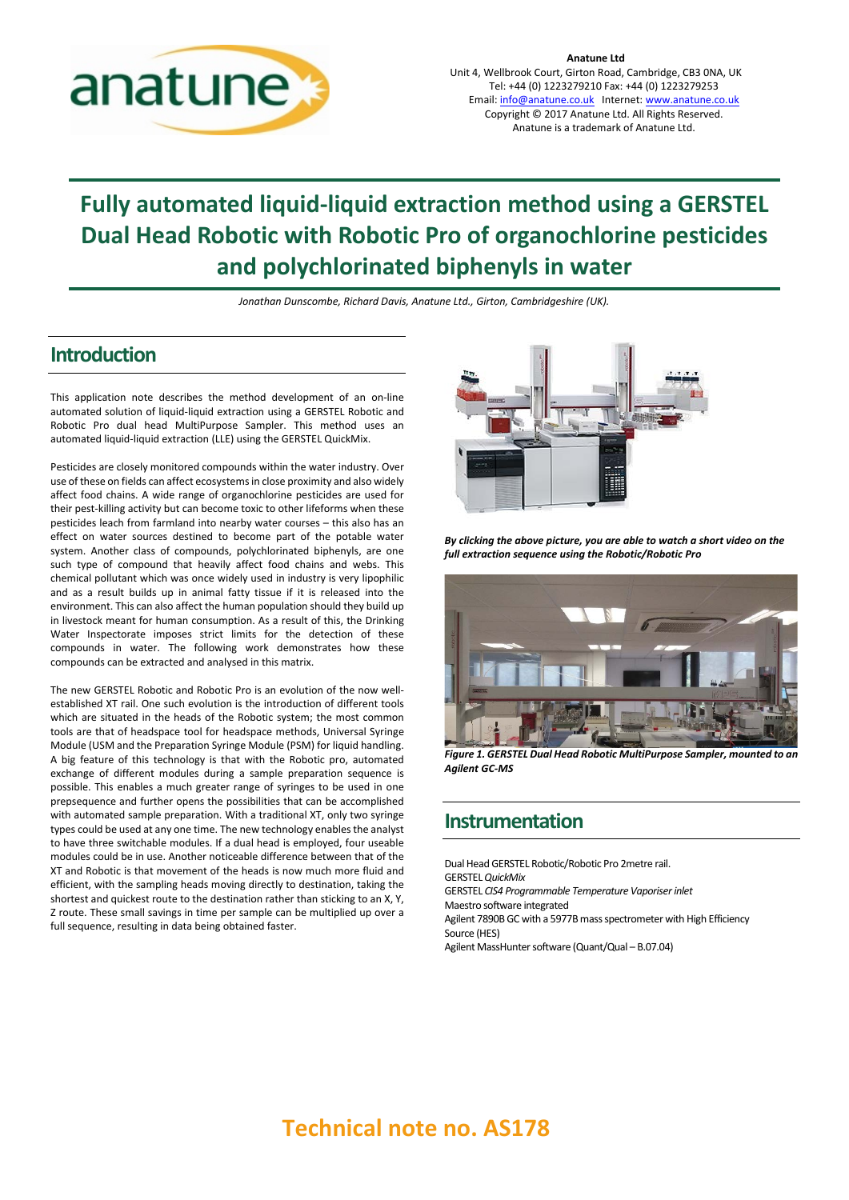

**Anatune Ltd** Unit 4, Wellbrook Court, Girton Road, Cambridge, CB3 0NA, UK Tel: +44 (0) 1223279210 Fax: +44 (0) 1223279253 Email[: info@anatune.co.uk](mailto:info@anatune.co.uk) Internet: [www.anatune.co.uk](http://www.anatune.co.uk/) Copyright © 2017 Anatune Ltd. All Rights Reserved. Anatune is a trademark of Anatune Ltd.

# **Fully automated liquid-liquid extraction method using a GERSTEL Dual Head Robotic with Robotic Pro of organochlorine pesticides and polychlorinated biphenyls in water**

*Jonathan Dunscombe, Richard Davis, Anatune Ltd., Girton, Cambridgeshire (UK).*

#### **Introduction**

This application note describes the method development of an on-line automated solution of liquid-liquid extraction using a GERSTEL Robotic and Robotic Pro dual head MultiPurpose Sampler. This method uses an automated liquid-liquid extraction (LLE) using the GERSTEL QuickMix.

Pesticides are closely monitored compounds within the water industry. Over use of these on fields can affect ecosystems in close proximity and also widely affect food chains. A wide range of organochlorine pesticides are used for their pest-killing activity but can become toxic to other lifeforms when these pesticides leach from farmland into nearby water courses – this also has an effect on water sources destined to become part of the potable water system. Another class of compounds, polychlorinated biphenyls, are one such type of compound that heavily affect food chains and webs. This chemical pollutant which was once widely used in industry is very lipophilic and as a result builds up in animal fatty tissue if it is released into the environment. This can also affect the human population should they build up in livestock meant for human consumption. As a result of this, the Drinking Water Inspectorate imposes strict limits for the detection of these compounds in water. The following work demonstrates how these compounds can be extracted and analysed in this matrix.

The new GERSTEL Robotic and Robotic Pro is an evolution of the now wellestablished XT rail. One such evolution is the introduction of different tools which are situated in the heads of the Robotic system; the most common tools are that of headspace tool for headspace methods, Universal Syringe Module (USM and the Preparation Syringe Module (PSM) for liquid handling. A big feature of this technology is that with the Robotic pro, automated exchange of different modules during a sample preparation sequence is possible. This enables a much greater range of syringes to be used in one prepsequence and further opens the possibilities that can be accomplished with automated sample preparation. With a traditional XT, only two syringe types could be used at any one time. The new technology enables the analyst to have three switchable modules. If a dual head is employed, four useable modules could be in use. Another noticeable difference between that of the XT and Robotic is that movement of the heads is now much more fluid and efficient, with the sampling heads moving directly to destination, taking the shortest and quickest route to the destination rather than sticking to an X, Y, Z route. These small savings in time per sample can be multiplied up over a full sequence, resulting in data being obtained faster.



*By clicking the above picture, you are able to watch a short video on the full extraction sequence using the Robotic/Robotic Pro*



*Figure 1. GERSTEL Dual Head Robotic MultiPurpose Sampler, mounted to an Agilent GC-MS*

#### **Instrumentation**

Dual Head GERSTEL Robotic/Robotic Pro 2metre rail. GERSTEL *QuickMix* GERSTEL *CIS4 Programmable Temperature Vaporiser inlet* Maestro software integrated Agilent 7890B GC with a 5977B mass spectrometer with High Efficiency Source (HES) Agilent MassHunter software (Quant/Qual – B.07.04)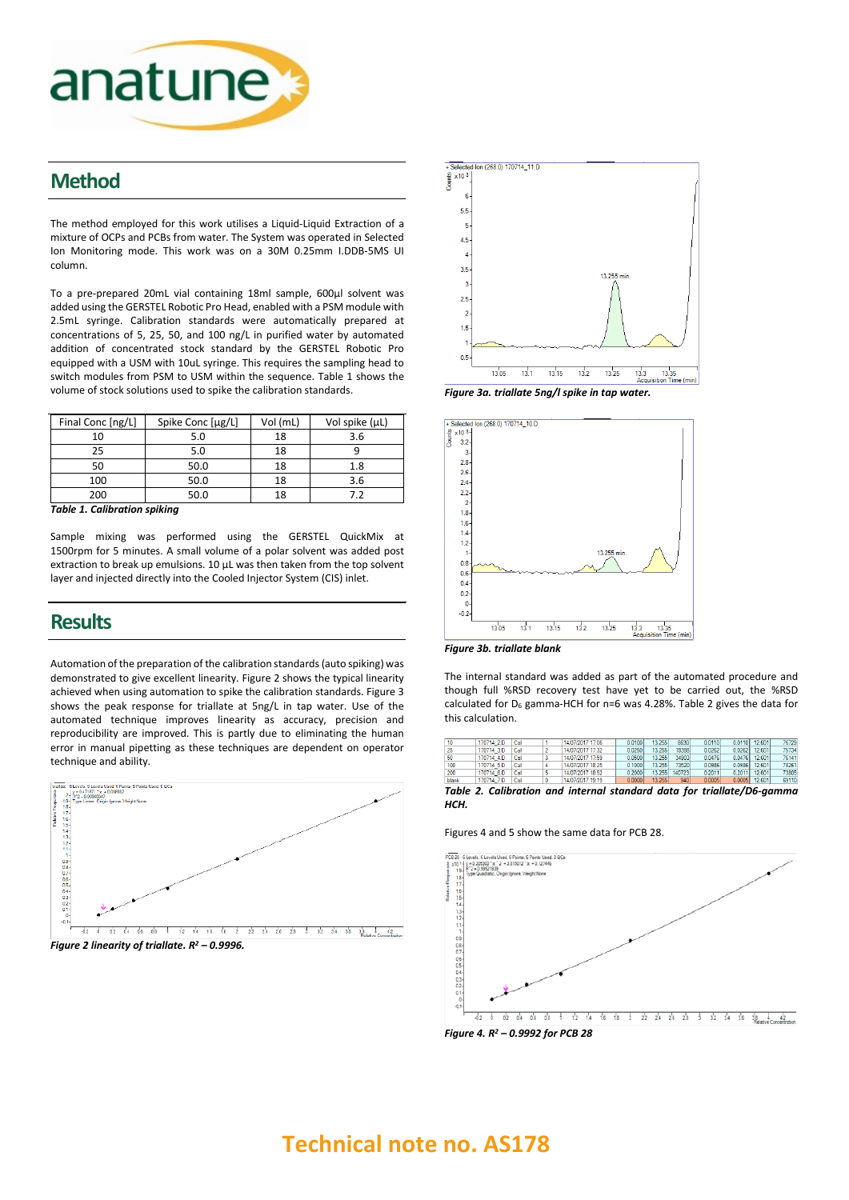

### **Method**

The method employed for this work utilises a Liquid-Liquid Extraction of a mixture of OCPs and PCBs from water. The System was operated in Selected Ion Monitoring mode. This work was on a 30M 0.25mm I.DDB-5MS UI column.

To a pre-prepared 20mL vial containing 18ml sample, 600µl solvent was added using the GERSTEL Robotic Pro Head, enabled with a PSM module with 2.5mL syringe. Calibration standards were automatically prepared at concentrations of 5, 25, 50, and 100 ng/L in purified water by automated addition of concentrated stock standard by the GERSTEL Robotic Pro equipped with a USM with 10uL syringe. This requires the sampling head to switch modules from PSM to USM within the sequence. Table 1 shows the volume of stock solutions used to spike the calibration standards.

| Final Conc [ng/L] | Spike Conc [µg/L] | Vol (mL) | Vol spike $(\mu L)$ |  |
|-------------------|-------------------|----------|---------------------|--|
| 10                | 5.0               | 18       | 3.6                 |  |
| 25                | 5.0               | 18       |                     |  |
| 50                | 50.0              | 18       | 1.8                 |  |
| 100               | 50.0              | 18       | 3.6                 |  |
| 200               | 50.0              | 18       | 79                  |  |

*Table 1. Calibration spiking*

Sample mixing was performed using the GERSTEL QuickMix at 1500rpm for 5 minutes. A small volume of a polar solvent was added post extraction to break up emulsions. 10 µL was then taken from the top solvent layer and injected directly into the Cooled Injector System (CIS) inlet.

#### **Results**

Automation of the preparation of the calibration standards (auto spiking) was demonstrated to give excellent linearity. Figure 2 shows the typical linearity achieved when using automation to spike the calibration standards. Figure 3 shows the peak response for triallate at 5ng/L in tap water. Use of the automated technique improves linearity as accuracy, precision and reproducibility are improved. This is partly due to eliminating the human error in manual pipetting as these techniques are dependent on operator





*Figure 3a. triallate 5ng/l spike in tap water.*





The internal standard was added as part of the automated procedure and though full %RSD recovery test have yet to be carried out, the %RSD calculated for  $D_6$  gamma-HCH for n=6 was 4.28%. Table 2 gives the data for this calculation.

| 10    | 170714 2.D | Cal | 14/07/2017 17:06 | 0.0100   | 13.255 | 8630   | 0.0110 | $0.0110$ 12.601 | 76729 |
|-------|------------|-----|------------------|----------|--------|--------|--------|-----------------|-------|
| 25    | 170714 3.D | Cal | 14/07/2017 17:32 | 0.02501  | 13.255 | 19398  | 0.0262 | 0.0262 12.601   | 75734 |
| 50    | 170714 4.D | Cal | 14/07/2017 17:59 | 0.0500   | 13.255 | 34903  | 0.0476 | $0.0476$ 12.601 | 76141 |
| 100   | 170714 5.D | Cal | 14/07/2017 18:25 | 0.10001  | 13.255 | 73520  | 0.0986 | 0.0986 12.601   | 78261 |
| 200   | 170714 6.D | Cal | 14/07/2017 18:52 | 0.2000   | 13.255 | 140723 | 0.2011 | 0.2011 12.601   | 73805 |
| hlank | 170714 7 D |     | 14/07/2017 19:19 | n nono l | 13.255 | 940    | 0.0005 | 0.0005 12.601   | 69110 |

*Table 2. Calibration and internal standard data for triallate/D6-gamma HCH.*

Figures 4 and 5 show the same data for PCB 28.



*Figure 4. R2 – 0.9992 for PCB 28*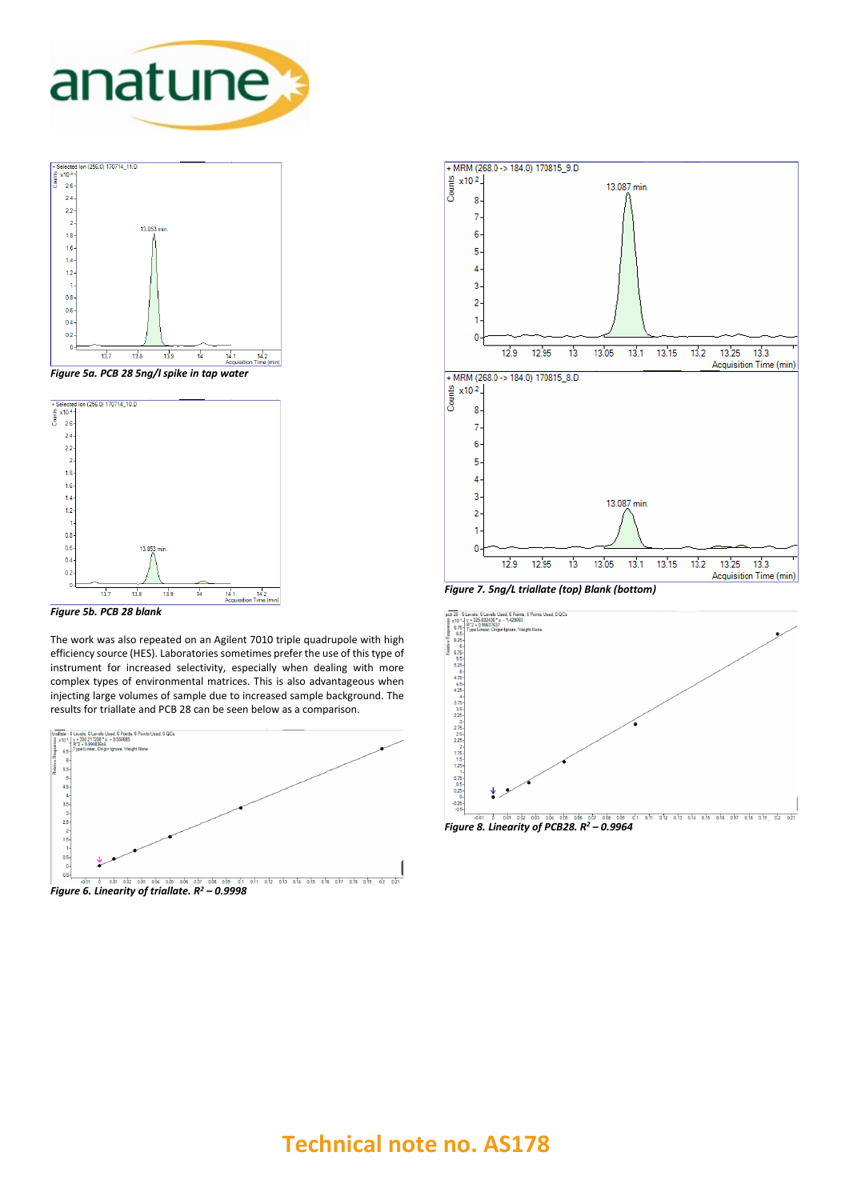





*Figure 5b. PCB 28 blank*

The work was also repeated on an Agilent 7010 triple quadrupole with high efficiency source (HES). Laboratories sometimes prefer the use of this type of instrument for increased selectivity, especially when dealing with more complex types of environmental matrices. This is also advantageous when injecting large volumes of sample due to increased sample background. The results for triallate and PCB 28 can be seen below as a comparison.







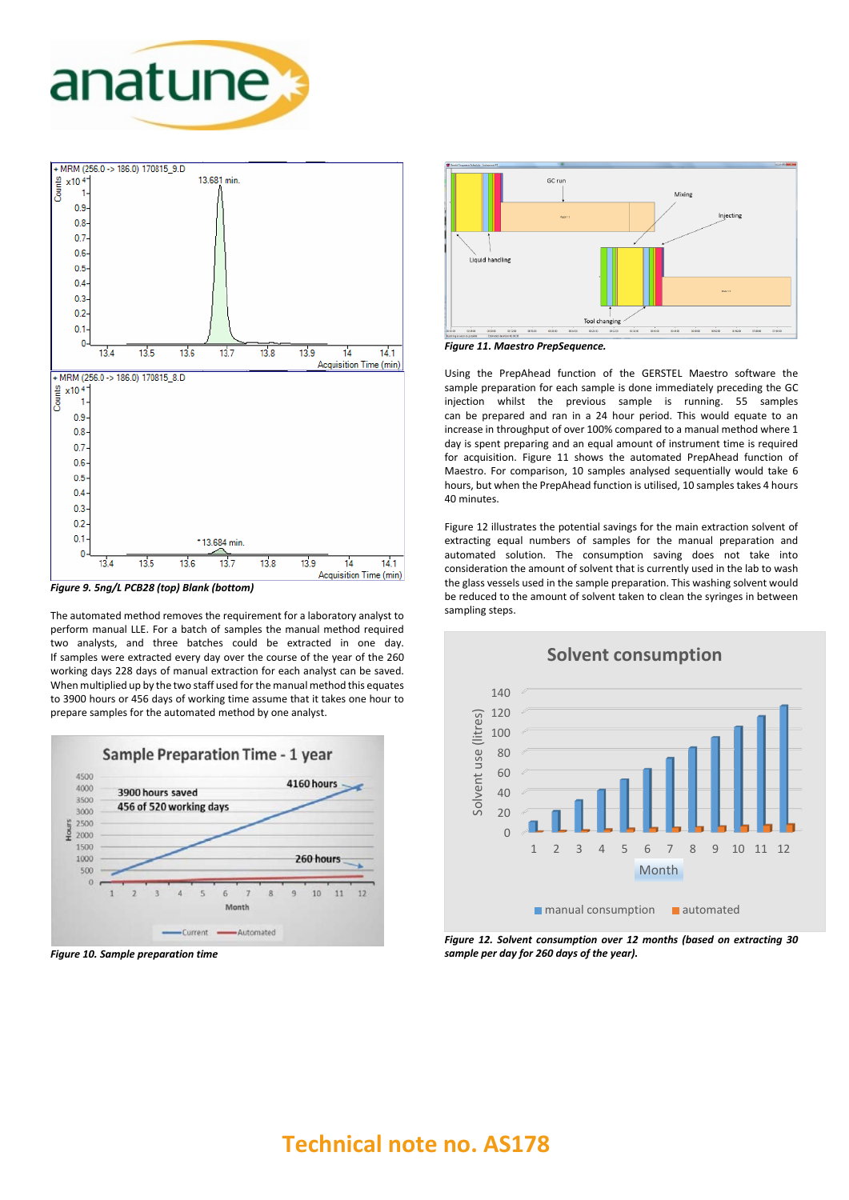



*Figure 9. 5ng/L PCB28 (top) Blank (bottom)*

The automated method removes the requirement for a laboratory analyst to perform manual LLE. For a batch of samples the manual method required two analysts, and three batches could be extracted in one day. If samples were extracted every day over the course of the year of the 260 working days 228 days of manual extraction for each analyst can be saved. When multiplied up by the two staff used for the manual method this equates to 3900 hours or 456 days of working time assume that it takes one hour to prepare samples for the automated method by one analyst.



*Figure 10. Sample preparation time*



*Figure 11. Maestro PrepSequence.*

Using the PrepAhead function of the GERSTEL Maestro software the sample preparation for each sample is done immediately preceding the GC injection whilst the previous sample is running. 55 samples can be prepared and ran in a 24 hour period. This would equate to an increase in throughput of over 100% compared to a manual method where 1 day is spent preparing and an equal amount of instrument time is required for acquisition. Figure 11 shows the automated PrepAhead function of Maestro. For comparison, 10 samples analysed sequentially would take 6 hours, but when the PrepAhead function is utilised, 10 samples takes 4 hours 40 minutes.

Figure 12 illustrates the potential savings for the main extraction solvent of extracting equal numbers of samples for the manual preparation and automated solution. The consumption saving does not take into consideration the amount of solvent that is currently used in the lab to wash the glass vessels used in the sample preparation. This washing solvent would be reduced to the amount of solvent taken to clean the syringes in between sampling steps.



*Figure 12. Solvent consumption over 12 months (based on extracting 30 sample per day for 260 days of the year).*